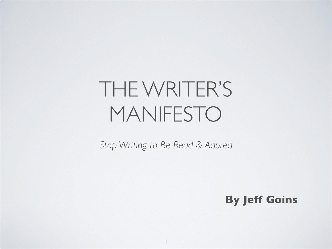# THE WRITER'S MANIFESTO

*Stop Writing to Be Read & Adored*

**By Jeff Goins**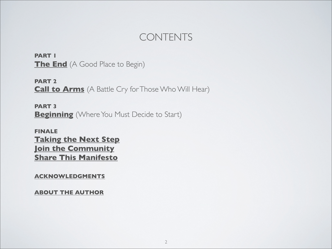### CONTENTS

**PART 1 [The End](#page-2-0)** (A Good Place to Begin)

**PART 2 [Call to Arms](#page-11-0)** (A Battle Cry for Those Who Will Hear)

**PART 3 [Beginning](#page-32-0)** (Where You Must Decide to Start)

#### **FINALE [Taking the Next Step](#page-38-0) [Join the Community](#page-39-0) [Share This Manifesto](#page-40-0)**

**[ACKNOWLEDGMENTS](#page-41-0)**

**[ABOUT THE AUTHOR](#page-42-0)**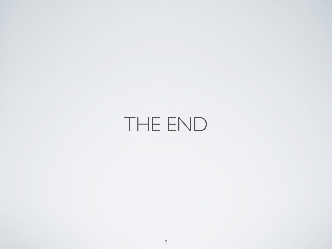# <span id="page-2-0"></span>THE END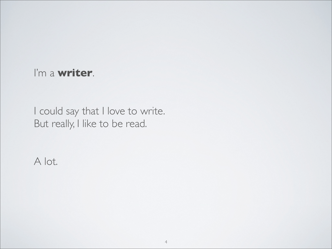### I'm a **writer**.

I could say that I love to write. But really, I like to be read.

A lot.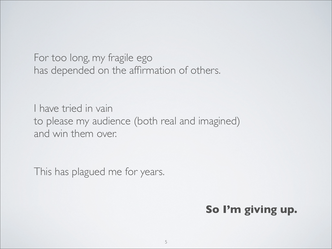For too long, my fragile ego has depended on the affirmation of others.

I have tried in vain to please my audience (both real and imagined) and win them over.

This has plagued me for years.

## **So I'm giving up.**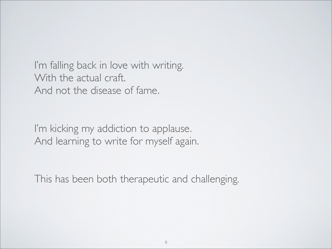I'm falling back in love with writing. With the actual craft. And not the disease of fame.

I'm kicking my addiction to applause. And learning to write for myself again.

This has been both therapeutic and challenging.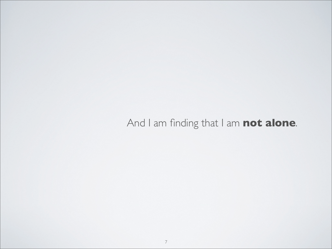## And I am finding that I am **not alone**.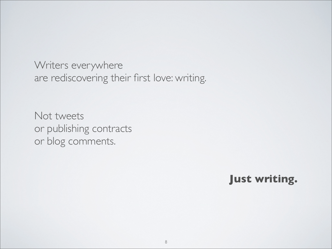Writers everywhere are rediscovering their first love: writing.

Not tweets or publishing contracts or blog comments.

**Just writing.**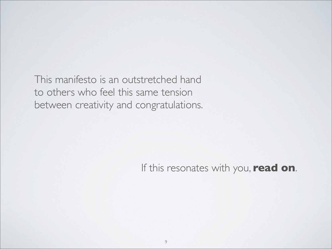This manifesto is an outstretched hand to others who feel this same tension between creativity and congratulations.

If this resonates with you, **read on**.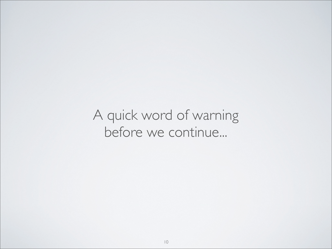## A quick word of warning before we continue...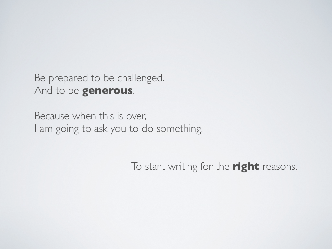Be prepared to be challenged. And to be **generous**.

Because when this is over, I am going to ask you to do something.

To start writing for the **right** reasons.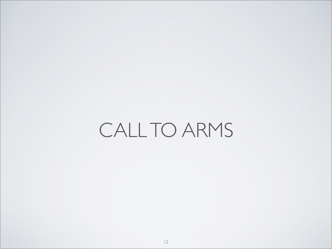# <span id="page-11-0"></span>CALL TO ARMS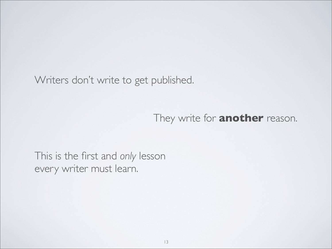Writers don't write to get published.

They write for **another** reason.

This is the first and *only* lesson every writer must learn.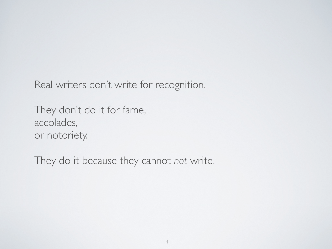Real writers don't write for recognition.

They don't do it for fame, accolades, or notoriety.

They do it because they cannot *not* write.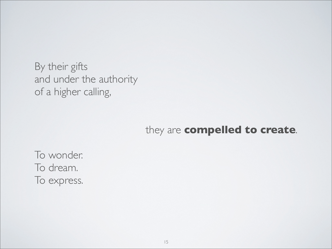By their gifts and under the authority of a higher calling,

#### they are **compelled to create**.

To wonder. To dream. To express.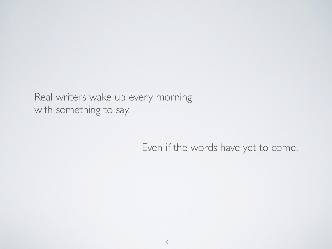Real writers wake up every morning with something to say.

#### Even if the words have yet to come.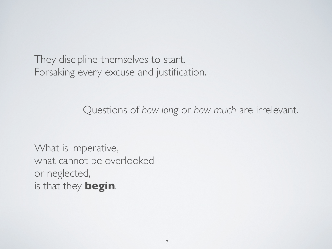They discipline themselves to start. Forsaking every excuse and justification.

Questions of *how long* or *how much* are irrelevant.

What is imperative, what cannot be overlooked or neglected, is that they **begin**.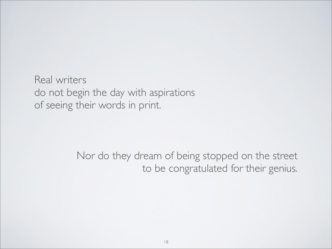Real writers do not begin the day with aspirations of seeing their words in print.

> Nor do they dream of being stopped on the street to be congratulated for their genius.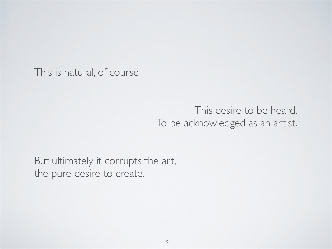This is natural, of course.

### This desire to be heard. To be acknowledged as an artist.

But ultimately it corrupts the art, the pure desire to create.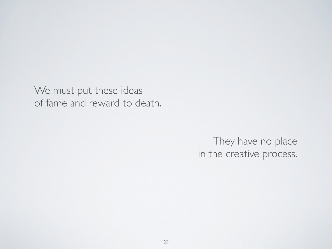We must put these ideas of fame and reward to death.

> They have no place in the creative process.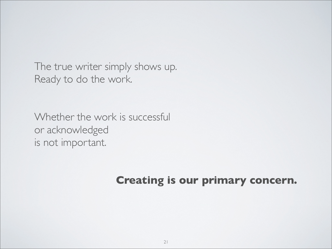The true writer simply shows up. Ready to do the work.

Whether the work is successful or acknowledged is not important.

## **Creating is our primary concern.**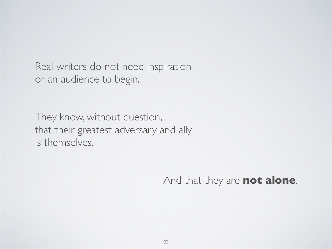Real writers do not need inspiration or an audience to begin.

They know, without question, that their greatest adversary and ally is themselves.

And that they are **not alone**.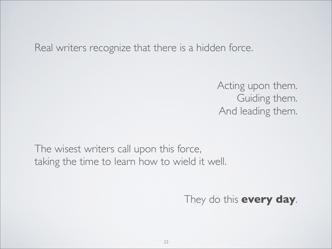Real writers recognize that there is a hidden force.

Acting upon them. Guiding them. And leading them.

The wisest writers call upon this force, taking the time to learn how to wield it well.

They do this **every day**.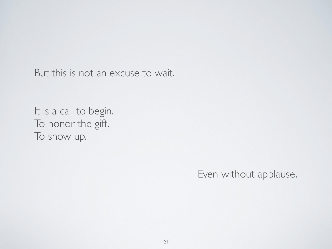But this is not an excuse to wait.

It is a call to begin. To honor the gift. To show up.

Even without applause.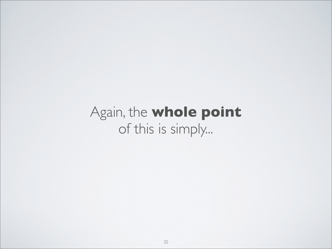# Again, the **whole point** of this is simply...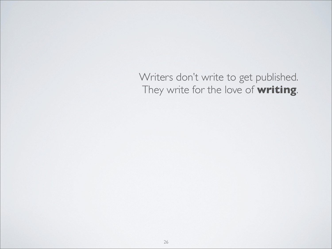Writers don't write to get published. They write for the love of **writing**.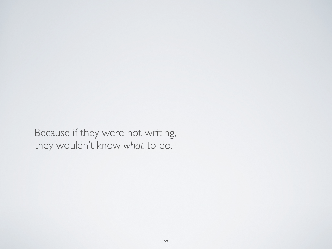Because if they were not writing, they wouldn't know *what* to do.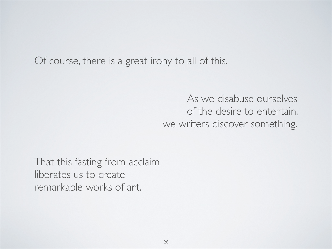Of course, there is a great irony to all of this.

As we disabuse ourselves of the desire to entertain, we writers discover something.

That this fasting from acclaim liberates us to create remarkable works of art.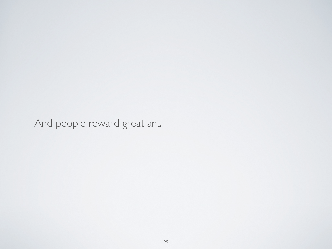And people reward great art.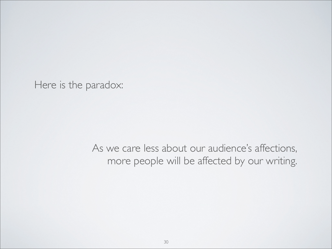Here is the paradox:

As we care less about our audience's affections, more people will be affected by our writing.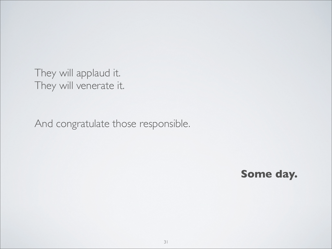They will applaud it. They will venerate it.

And congratulate those responsible.

**Some day.**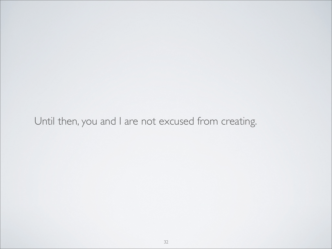## Until then, you and I are not excused from creating.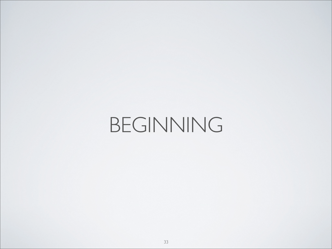# <span id="page-32-0"></span>BEGINNING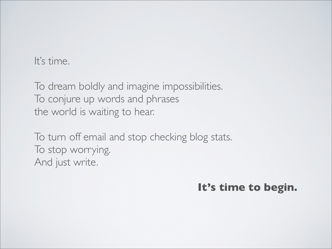It's time.

To dream boldly and imagine impossibilities. To conjure up words and phrases the world is waiting to hear.

To turn off email and stop checking blog stats. To stop worrying. And just write.

**It's time to begin.**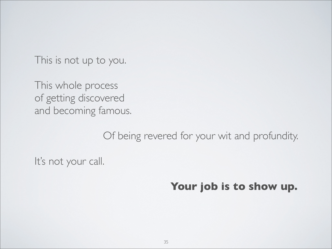This is not up to you.

This whole process of getting discovered and becoming famous.

Of being revered for your wit and profundity.

It's not your call.

**Your job is to show up.**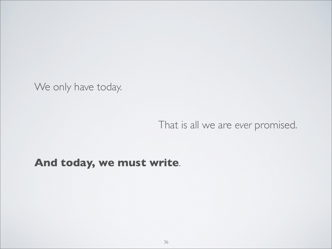We only have today.

That is all we are *ever* promised.

### **And today, we must write**.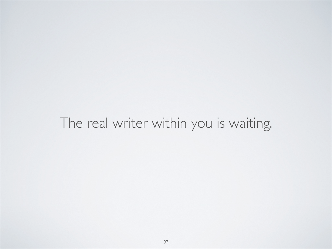## The real writer within you is waiting.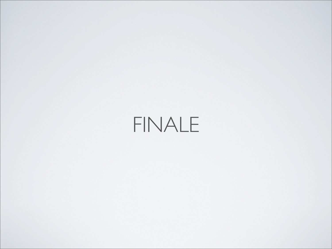# FINALE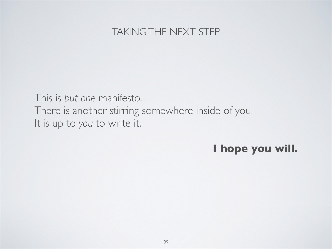### TAKING THE NEXT STEP

<span id="page-38-0"></span>This is *but one* manifesto. There is another stirring somewhere inside of you. It is up to *you* to write it.

### **I hope you will.**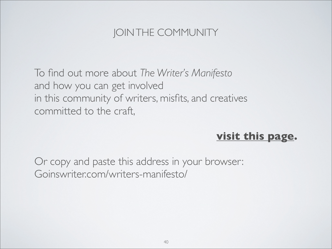## JOIN THE COMMUNITY

<span id="page-39-0"></span>To find out more about *The Writer's Manifesto* and how you can get involved in this community of writers, misfits, and creatives committed to the craft,

### **[visit this page.](http://goinswriter.com/writers-manifesto/)**

Or copy and paste this address in your browser: Goinswriter.com/writers-manifesto/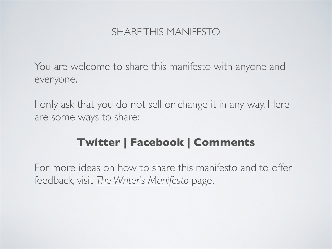### SHARE THIS MANIFESTO

<span id="page-40-0"></span>You are welcome to share this manifesto with anyone and everyone.

I only ask that you do not sell or change it in any way. Here are some ways to share:

## **[Twitter](http://twitter.com/intent/tweet?source=webclient&text=Get+a+free+copy+of+The+Writer) | [Facebook](http://www.facebook.com/sharer/sharer.php?u=http%253A%252F%252Fgoinswriter.com%252Fwriters-manifesto/&t=The+Writers+Manifesto&src=sp) | [Comments](http://goinswriter.com/writers-manifesto/)**

For more ideas on how to share this manifesto and to offer feedback, visit *[The Writer's Manifesto](http://goinswriter.com/writers-manifesto/)* page.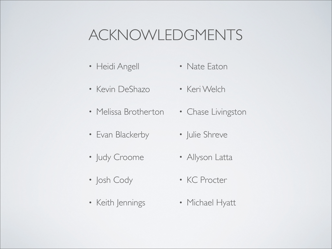# <span id="page-41-0"></span>ACKNOWLEDGMENTS

- Heidi Angell • Nate Eaton
- Kevin DeShazo
- Melissa Brotherton
- Evan Blackerby
- Judy Croome
- Josh Cody
- Keith Jennings
- Keri Welch
- Chase Livingston
- Julie Shreve
- Allyson Latta
- KC Procter
- Michael Hyatt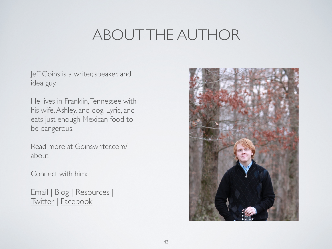# ABOUT THE AUTHOR

<span id="page-42-0"></span>Jeff Goins is a writer, speaker, and idea guy.

He lives in Franklin, Tennessee with his wife, Ashley, and dog, Lyric, and eats just enough Mexican food to be dangerous.

Read more at [Goinswriter.com/](http://goinswriter.com/about) [about.](http://goinswriter.com/about)

Connect with him:

[Email](mailto:jeff.goins@gmail.com) | [Blog](http://goinswriter.com) | [Resources](http://goinswriter.com/resources/) | [Twitter](http://twitter.com/jeffgoins) | [Facebook](http://facebook.com/goinswriter)